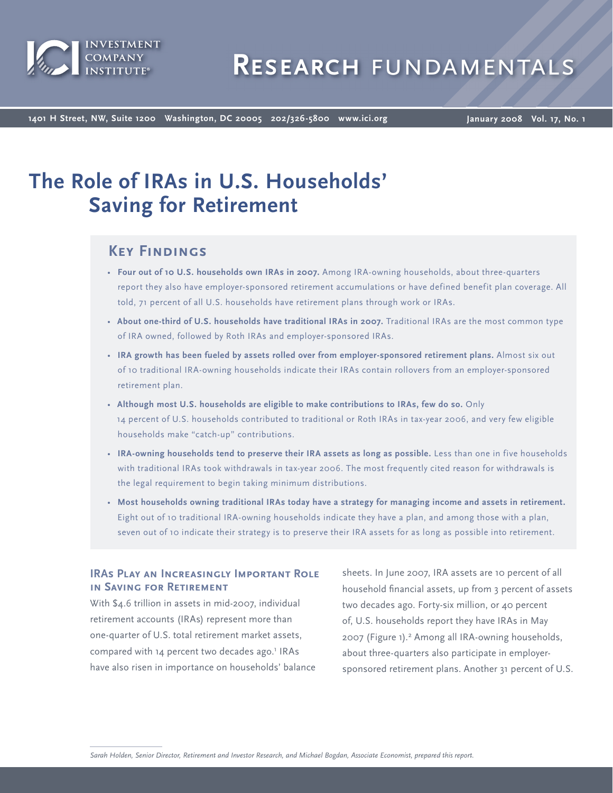

**1401 H Street, NW, Suite 1200 Washington, DC 20005 202/326-5800 www.ici.org**

**January 2008 Vol. 17, No. 1**

# **The Role of IRAs in U.S. Households' Saving for Retirement**

# **Key Findings**

- Four out of 10 U.S. households own IRAs in 2007. Among IRA-owning households, about three-quarters report they also have employer-sponsored retirement accumulations or have defined benefit plan coverage. All told, 71 percent of all U.S. households have retirement plans through work or IRAs.
- About one-third of U.S. households have traditional IRAs in 2007. Traditional IRAs are the most common type of IRA owned, followed by Roth IRAs and employer-sponsored IRAs.
- **IRA growth has been fueled by assets rolled over from employer-sponsored retirement plans.** Almost six out of 10 traditional IRA-owning households indicate their IRAs contain rollovers from an employer-sponsored retirement plan.
- **Although most U.S. households are eligible to make contributions to IRAs, few do so.** Only 14 percent of U.S. households contributed to traditional or Roth IRAs in tax-year 2006, and very few eligible households make "catch-up" contributions.
- **IRA-owning households tend to preserve their IRA assets as long as possible.** Less than one in five households with traditional IRAs took withdrawals in tax-year 2006. The most frequently cited reason for withdrawals is the legal requirement to begin taking minimum distributions.
- **Most households owning traditional IRAs today have a strategy for managing income and assets in retirement.** Eight out of 10 traditional IRA-owning households indicate they have a plan, and among those with a plan, seven out of 10 indicate their strategy is to preserve their IRA assets for as long as possible into retirement.

### **IRAs Play an Increasingly Important Role in Saving for Retirement**

With \$4.6 trillion in assets in mid-2007, individual retirement accounts (IRAs) represent more than one-quarter of U.S. total retirement market assets, compared with 14 percent two decades ago.<sup>1</sup> IRAs have also risen in importance on households' balance sheets. In June 2007, IRA assets are 10 percent of all household financial assets, up from 3 percent of assets two decades ago. Forty-six million, or 40 percent of, U.S. households report they have IRAs in May 2007 (Figure 1).<sup>2</sup> Among all IRA-owning households, about three-quarters also participate in employersponsored retirement plans. Another 31 percent of U.S.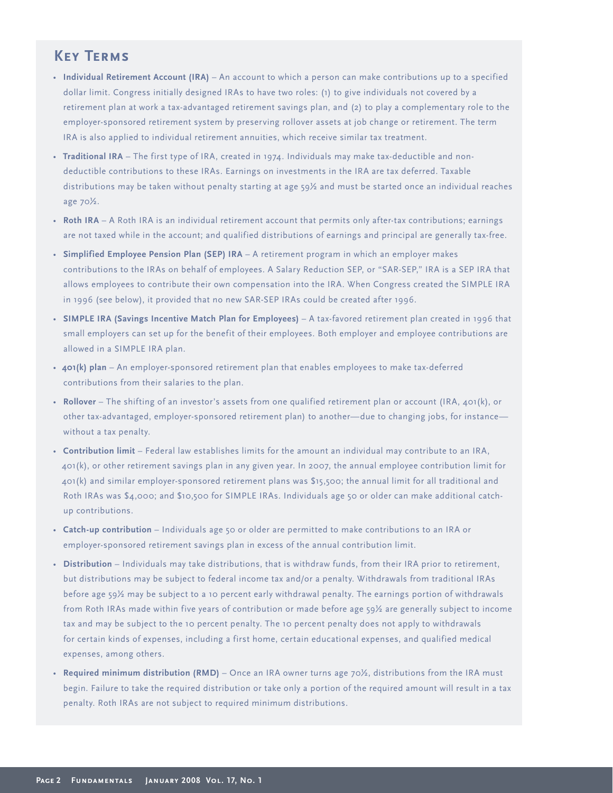# **Key Terms**

- Individual Retirement Account (IRA) An account to which a person can make contributions up to a specified dollar limit. Congress initially designed IRAs to have two roles: (1) to give individuals not covered by a retirement plan at work a tax-advantaged retirement savings plan, and (2) to play a complementary role to the employer-sponsored retirement system by preserving rollover assets at job change or retirement. The term IRA is also applied to individual retirement annuities, which receive similar tax treatment.
- Traditional IRA The first type of IRA, created in 1974. Individuals may make tax-deductible and nondeductible contributions to these IRAs. Earnings on investments in the IRA are tax deferred. Taxable distributions may be taken without penalty starting at age 59½ and must be started once an individual reaches age 70½.
- Roth IRA A Roth IRA is an individual retirement account that permits only after-tax contributions; earnings are not taxed while in the account; and qualified distributions of earnings and principal are generally tax-free.
- Simplified Employee Pension Plan (SEP) IRA A retirement program in which an employer makes contributions to the IRAs on behalf of employees. A Salary Reduction SEP, or "SAR-SEP," IRA is a SEP IRA that allows employees to contribute their own compensation into the IRA. When Congress created the SIMPLE IRA in 1996 (see below), it provided that no new SAR-SEP IRAs could be created after 1996.
- SIMPLE IRA (Savings Incentive Match Plan for Employees) A tax-favored retirement plan created in 1996 that small employers can set up for the benefit of their employees. Both employer and employee contributions are allowed in a SIMPLE IRA plan.
- 401(k) plan An employer-sponsored retirement plan that enables employees to make tax-deferred contributions from their salaries to the plan.
- Rollover The shifting of an investor's assets from one qualified retirement plan or account (IRA, 401(k), or other tax-advantaged, employer-sponsored retirement plan) to another—due to changing jobs, for instance without a tax penalty.
- Contribution limit Federal law establishes limits for the amount an individual may contribute to an IRA, 401(k), or other retirement savings plan in any given year. In 2007, the annual employee contribution limit for 401(k) and similar employer-sponsored retirement plans was \$15,500; the annual limit for all traditional and Roth IRAs was \$4,000; and \$10,500 for SIMPLE IRAs. Individuals age 50 or older can make additional catchup contributions.
- Catch-up contribution Individuals age 50 or older are permitted to make contributions to an IRA or employer-sponsored retirement savings plan in excess of the annual contribution limit.
- – Individuals may take distributions, that is withdraw funds, from their IRA prior to retirement, **Distribution** but distributions may be subject to federal income tax and/or a penalty. Withdrawals from traditional IRAs before age 59½ may be subject to a 10 percent early withdrawal penalty. The earnings portion of withdrawals from Roth IRAs made within five years of contribution or made before age 59½ are generally subject to income tax and may be subject to the 10 percent penalty. The 10 percent penalty does not apply to withdrawals for certain kinds of expenses, including a first home, certain educational expenses, and qualified medical expenses, among others.
- Required minimum distribution (RMD) Once an IRA owner turns age  $70\frac{1}{2}$ , distributions from the IRA must begin. Failure to take the required distribution or take only a portion of the required amount will result in a tax penalty. Roth IRAs are not subject to required minimum distributions.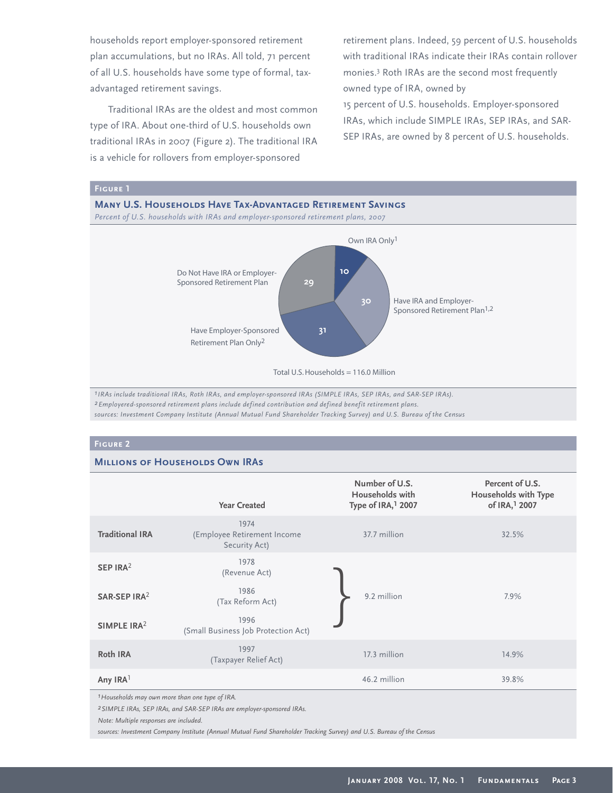households report employer-sponsored retirement plan accumulations, but no IRAs. All told, 71 percent of all U.S. households have some type of formal, taxadvantaged retirement savings.

Traditional IRAs are the oldest and most common type of IRA. About one-third of U.S. households own traditional IRAs in 2007 (Figure 2). The traditional IRA is a vehicle for rollovers from employer-sponsored

retirement plans. Indeed, 59 percent of U.S. households with traditional IRAs indicate their IRAs contain rollover monies.<sup>3</sup> Roth IRAs are the second most frequently owned type of IRA, owned by

15 percent of U.S. households. Employer-sponsored IRAs, which include SIMPLE IRAs, SEP IRAs, and SAR-SEP IRAs, are owned by 8 percent of U.S. households.



*1IRAs include traditional IRAs, Roth IRAs, and employer-sponsored IRAs (SIMPLE IRAs, SEP IRAs, and SAR-SEP IRAs). 2Employered-sponsored retirement plans include defined contribution and defined benefit retirement plans. sources: Investment Company Institute (Annual Mutual Fund Shareholder Tracking Survey) and U.S. Bureau of the Census*

#### **Figure 2**

#### **MILLIONS OF HOUSEHOLDS OWN IRAS**

|                          | <b>Year Created</b>                                  | Number of U.S.<br>Households with<br>Type of IRA, <sup>1</sup> 2007 | Percent of U.S.<br>Households with Type<br>of IRA, <sup>1</sup> 2007 |
|--------------------------|------------------------------------------------------|---------------------------------------------------------------------|----------------------------------------------------------------------|
| <b>Traditional IRA</b>   | 1974<br>(Employee Retirement Income<br>Security Act) | 37.7 million                                                        | 32.5%                                                                |
| SEP IRA <sup>2</sup>     | 1978<br>(Revenue Act)                                |                                                                     |                                                                      |
| SAR-SEP IRA <sup>2</sup> | 1986<br>(Tax Reform Act)                             | 9.2 million                                                         | 7.9%                                                                 |
| SIMPLE IRA <sup>2</sup>  | 1996<br>(Small Business Job Protection Act)          |                                                                     |                                                                      |
| <b>Roth IRA</b>          | 1997<br>(Taxpayer Relief Act)                        | 17.3 million                                                        | 14.9%                                                                |
| Any IRA <sup>1</sup>     |                                                      | 46.2 million                                                        | 39.8%                                                                |

*1Households may own more than one type of IRA.*

*2SIMPLE IRAs, SEP IRAs, and SAR-SEP IRAs are employer-sponsored IRAs.*

*Note: Multiple responses are included.*

*sources: Investment Company Institute (Annual Mutual Fund Shareholder Tracking Survey) and U.S. Bureau of the Census*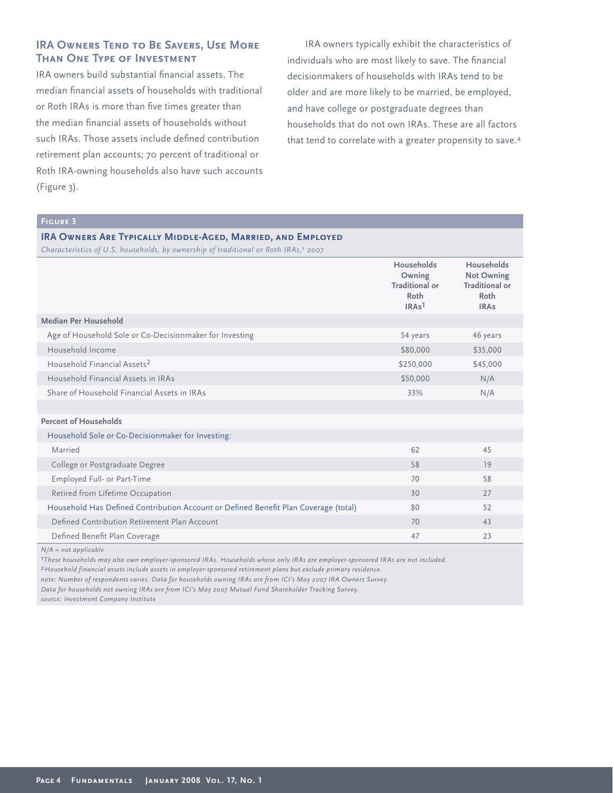### **IRA OWNERS TEND TO BE SAVERS, USE MORE Than One Type of Investment**

IRA owners build substantial financial assets. The median financial assets of households with traditional or Roth IRAs is more than five times greater than the median financial assets of households without such IRAs. Those assets include defined contribution retirement plan accounts; 70 percent of traditional or Roth IRA-owning households also have such accounts (Figure 3).

IRA owners typically exhibit the characteristics of individuals who are most likely to save. The financial decisionmakers of households with IRAs tend to be older and are more likely to be married, be employed, and have college or postgraduate degrees than households that do not own IRAs. These are all factors that tend to correlate with a greater propensity to save.<sup>4</sup>

## **Figure 3**

# **IRA Owners Are Typically Middle-Aged, Married, and Employed**

*Characteristics of U.S. households, by ownership of traditional or Roth IRAs,1 2007*

|                                                                                     | Households<br>Owning<br><b>Traditional or</b> | Households<br><b>Not Owning</b><br><b>Traditional or</b> |
|-------------------------------------------------------------------------------------|-----------------------------------------------|----------------------------------------------------------|
|                                                                                     | Roth<br>IRAs <sup>1</sup>                     | Roth<br><b>IRAs</b>                                      |
| Median Per Household                                                                |                                               |                                                          |
| Age of Household Sole or Co-Decisionmaker for Investing                             | 54 years                                      | 46 years                                                 |
| Household Income                                                                    | \$80,000                                      | \$35,000                                                 |
| Household Financial Assets <sup>2</sup>                                             | \$250,000                                     | \$45,000                                                 |
| Household Financial Assets in IRAs                                                  | \$50,000                                      | N/A                                                      |
| Share of Household Financial Assets in IRAs                                         | 33%                                           | N/A                                                      |
|                                                                                     |                                               |                                                          |
| <b>Percent of Households</b>                                                        |                                               |                                                          |
| Household Sole or Co-Decisionmaker for Investing:                                   |                                               |                                                          |
| Married                                                                             | 62                                            | 45                                                       |
| College or Postgraduate Degree                                                      | 58                                            | 19                                                       |
| Employed Full- or Part-Time                                                         | 70                                            | 58                                                       |
| Retired from Lifetime Occupation                                                    | 30                                            | 27                                                       |
| Household Has Defined Contribution Account or Defined Benefit Plan Coverage (total) | 80                                            | 52                                                       |
| Defined Contribution Retirement Plan Account                                        | 70                                            | 43                                                       |
| Defined Benefit Plan Coverage                                                       | 47                                            | 23                                                       |

*N/A = not applicable* 

*1These households may also own employer-sponsored IRAs. Households whose only IRAs are employer-sponsored IRAs are not included.*

*2Household financial assets include assets in employer-sponsored retirement plans but exclude primary residence.*

*note: Number of respondents varies. Data for households owning IRAs are from ICI's May 2007 IRA Owners Survey.*

*Data for households not owning IRAs are from ICI's May 2007 Mutual Fund Shareholder Tracking Survey.*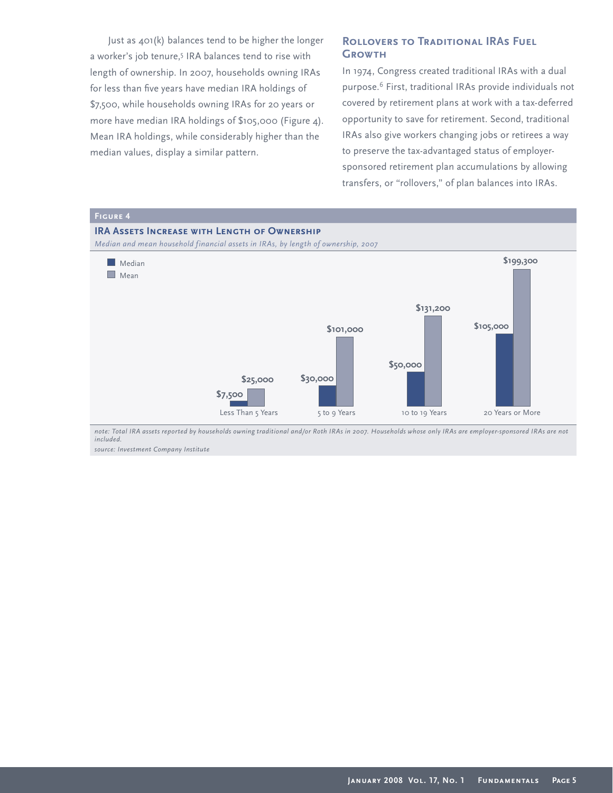Just as 401(k) balances tend to be higher the longer a worker's job tenure,<sup>5</sup> IRA balances tend to rise with length of ownership. In 2007, households owning IRAs for less than five years have median IRA holdings of \$7,500, while households owning IRAs for 20 years or more have median IRA holdings of \$105,000 (Figure 4). Mean IRA holdings, while considerably higher than the median values, display a similar pattern.

#### **ROLLOVERS TO TRADITIONAL IRAS FUEL Growth**

In 1974, Congress created traditional IRAs with a dual purpose.<sup>6</sup> First, traditional IRAs provide individuals not covered by retirement plans at work with a tax-deferred opportunity to save for retirement. Second, traditional IRAs also give workers changing jobs or retirees a way to preserve the tax-advantaged status of employersponsored retirement plan accumulations by allowing transfers, or "rollovers," of plan balances into IRAs.



*note: Total IRA assets reported by households owning traditional and/or Roth IRAs in 2007. Households whose only IRAs are employer-sponsored IRAs are not included.*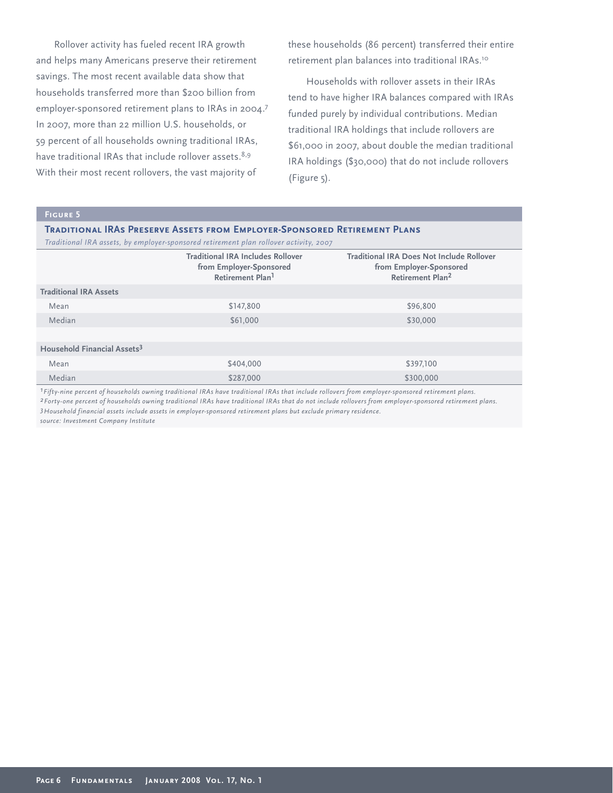Rollover activity has fueled recent IRA growth and helps many Americans preserve their retirement savings. The most recent available data show that households transferred more than \$200 billion from employer-sponsored retirement plans to IRAs in 2004.<sup>7</sup> In 2007, more than 22 million U.S. households, or 59 percent of all households owning traditional IRAs, have traditional IRAs that include rollover assets.<sup>8,9</sup> With their most recent rollovers, the vast majority of

these households (86 percent) transferred their entire retirement plan balances into traditional IRAs.<sup>10</sup>

Households with rollover assets in their IRAs tend to have higher IRA balances compared with IRAs funded purely by individual contributions. Median traditional IRA holdings that include rollovers are \$61,000 in 2007, about double the median traditional IRA holdings (\$30,000) that do not include rollovers (Figure 5).

#### **Figure 5**

**Traditional IRAs Preserve Assets from Employer-Sponsored Retirement Plans**  *Traditional IRA assets, by employer-sponsored retirement plan rollover activity, 2007*

| <b>Traditional IRA Does Not Include Rollover</b><br><b>Traditional IRA Includes Rollover</b><br>from Employer-Sponsored<br>from Employer-Sponsored<br>Retirement Plan <sup>2</sup><br>Retirement Plan <sup>1</sup> |                               |  |  |  |  |  |  |
|--------------------------------------------------------------------------------------------------------------------------------------------------------------------------------------------------------------------|-------------------------------|--|--|--|--|--|--|
|                                                                                                                                                                                                                    |                               |  |  |  |  |  |  |
|                                                                                                                                                                                                                    | <b>Traditional IRA Assets</b> |  |  |  |  |  |  |
| \$147,800<br>\$96,800<br>Mean                                                                                                                                                                                      |                               |  |  |  |  |  |  |
| Median<br>\$61,000<br>\$30,000                                                                                                                                                                                     |                               |  |  |  |  |  |  |
|                                                                                                                                                                                                                    |                               |  |  |  |  |  |  |
| Household Financial Assets <sup>3</sup>                                                                                                                                                                            |                               |  |  |  |  |  |  |
| Mean<br>\$404,000<br>\$397,100                                                                                                                                                                                     |                               |  |  |  |  |  |  |
| Median<br>\$287,000<br>\$300,000                                                                                                                                                                                   |                               |  |  |  |  |  |  |

*1Fifty-nine percent of households owning traditional IRAs have traditional IRAs that include rollovers from employer-sponsored retirement plans.*

*2Forty-one percent of households owning traditional IRAs have traditional IRAs that do not include rollovers from employer-sponsored retirement plans. 3Household financial assets include assets in employer-sponsored retirement plans but exclude primary residence.*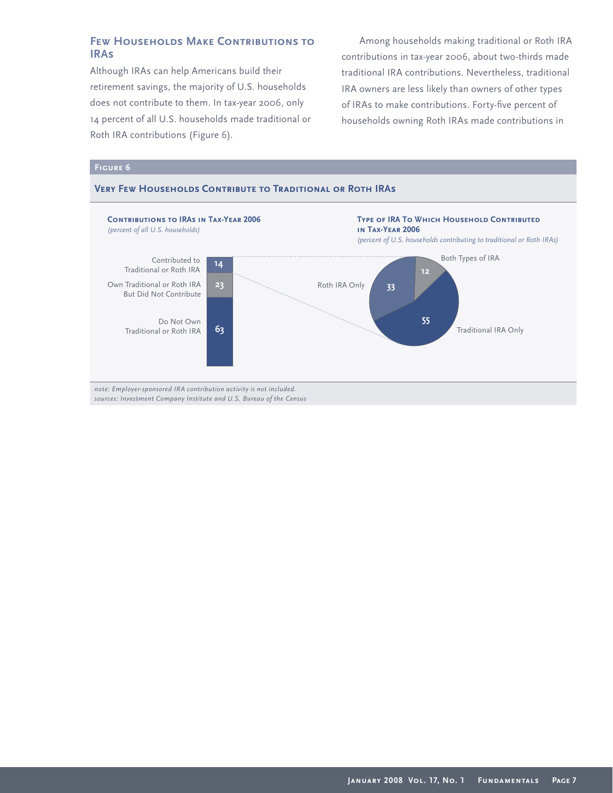### **Few Households Make Contributions to IRAs**

Although IRAs can help Americans build their retirement savings, the majority of U.S. households does not contribute to them. In tax-year 2006, only 14 percent of all U.S. households made traditional or Roth IRA contributions (Figure 6).

Among households making traditional or Roth IRA contributions in tax-year 2006, about two-thirds made traditional IRA contributions. Nevertheless, traditional IRA owners are less likely than owners of other types of IRAs to make contributions. Forty-five percent of households owning Roth IRAs made contributions in

#### **Figure 6**

#### **Very Few Households Contribute to Traditional or Roth IRAs**

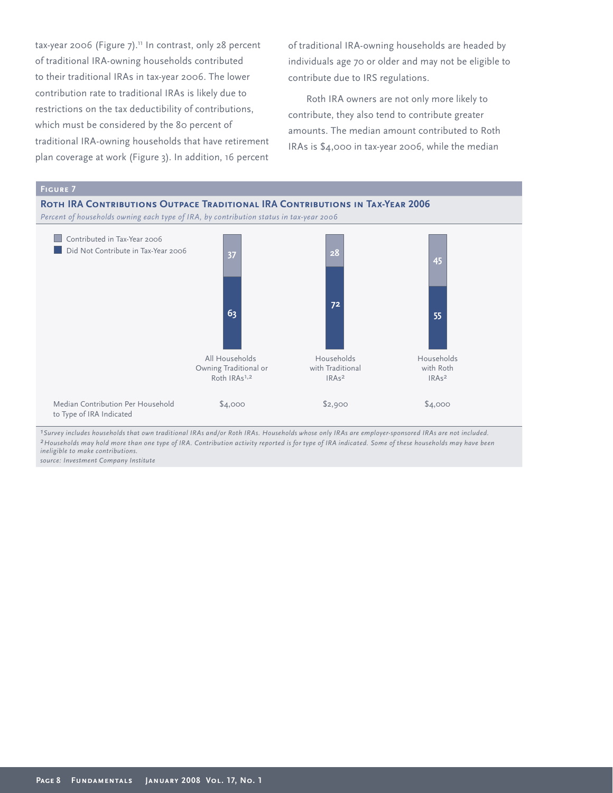tax-year 2006 (Figure  $7$ ).<sup>11</sup> In contrast, only 28 percent of traditional IRA-owning households contributed to their traditional IRAs in tax-year 2006. The lower contribution rate to traditional IRAs is likely due to restrictions on the tax deductibility of contributions, which must be considered by the 80 percent of traditional IRA-owning households that have retirement plan coverage at work (Figure 3). In addition, 16 percent

of traditional IRA-owning households are headed by individuals age 70 or older and may not be eligible to contribute due to IRS regulations.

Roth IRA owners are not only more likely to contribute, they also tend to contribute greater amounts. The median amount contributed to Roth IRAs is \$4,000 in tax-year 2006, while the median



*2Households may hold more than one type of IRA. Contribution activity reported is for type of IRA indicated. Some of these households may have been ineligible to make contributions.*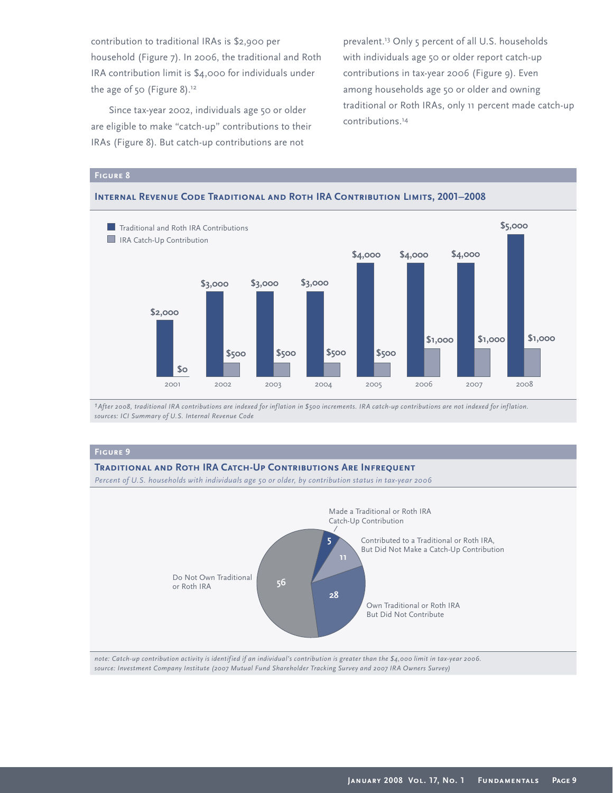contribution to traditional IRAs is \$2,900 per household (Figure 7). In 2006, the traditional and Roth IRA contribution limit is \$4,000 for individuals under the age of 50 (Figure 8).<sup>12</sup>

Since tax-year 2002, individuals age 50 or older are eligible to make "catch-up" contributions to their IRAs (Figure 8). But catch-up contributions are not

prevalent.<sup>13</sup> Only 5 percent of all U.S. households with individuals age 50 or older report catch-up contributions in tax-year 2006 (Figure 9). Even among households age 50 or older and owning traditional or Roth IRAs, only 11 percent made catch-up contributions.<sup>14</sup>

#### **Figure 8**



#### **Internal Revenue Code Traditional and Roth IRA Contribution Limits, 2001–2008**

*1After 2008, traditional IRA contributions are indexed for inflation in \$500 increments. IRA catch-up contributions are not indexed for inflation. sources: ICI Summary of U.S. Internal Revenue Code*

#### **Figure 9**

#### **Traditional and Roth IRA Catch-Up Contributions Are Infrequent**

*Percent of U.S. households with individuals age 50 or older, by contribution status in tax-year 2006*



*note: Catch-up contribution activity is identified if an individual's contribution is greater than the \$4,000 limit in tax-year 2006. source: Investment Company Institute (2007 Mutual Fund Shareholder Tracking Survey and 2007 IRA Owners Survey)*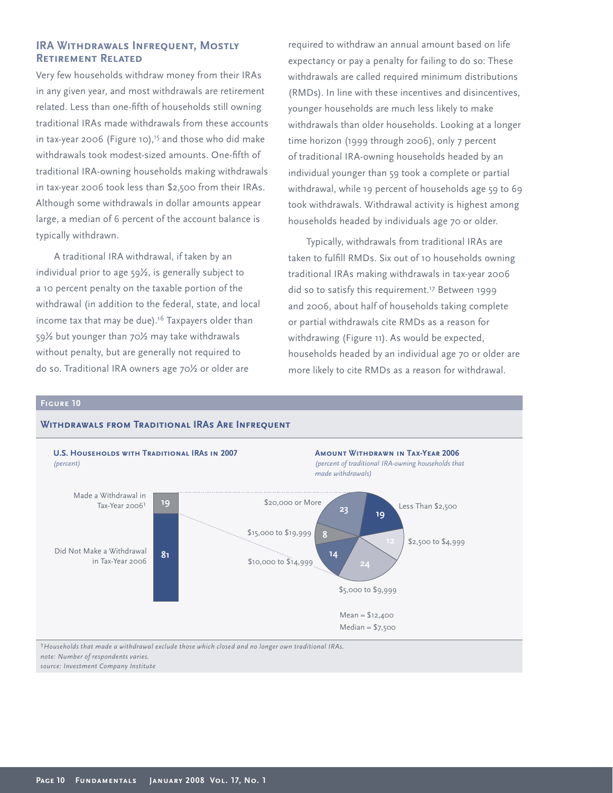#### **IRA Withdrawals Infrequent, Mostly Retirement Related**

Very few households withdraw money from their IRAs in any given year, and most withdrawals are retirement related. Less than one-fifth of households still owning traditional IRAs made withdrawals from these accounts in tax-year 2006 (Figure 10),<sup>15</sup> and those who did make withdrawals took modest-sized amounts. One-fifth of traditional IRA-owning households making withdrawals in tax-year 2006 took less than \$2,500 from their IRAs. Although some withdrawals in dollar amounts appear large, a median of 6 percent of the account balance is typically withdrawn.

A traditional IRA withdrawal, if taken by an individual prior to age 59½, is generally subject to a 10 percent penalty on the taxable portion of the withdrawal (in addition to the federal, state, and local income tax that may be due).<sup>16</sup> Taxpayers older than 59½ but younger than 70½ may take withdrawals without penalty, but are generally not required to do so. Traditional IRA owners age 70½ or older are

**Withdrawals from Traditional IRAs Are Infrequent**

required to withdraw an annual amount based on life expectancy or pay a penalty for failing to do so: These withdrawals are called required minimum distributions (RMDs). In line with these incentives and disincentives, younger households are much less likely to make withdrawals than older households. Looking at a longer time horizon (1999 through 2006), only 7 percent of traditional IRA-owning households headed by an individual younger than 59 took a complete or partial withdrawal, while 19 percent of households age 59 to 69 took withdrawals. Withdrawal activity is highest among households headed by individuals age 70 or older.

Typically, withdrawals from traditional IRAs are taken to fulfill RMDs. Six out of 10 households owning traditional IRAs making withdrawals in tax-year 2006 did so to satisfy this requirement.<sup>17</sup> Between 1999 and 2006, about half of households taking complete or partial withdrawals cite RMDs as a reason for withdrawing (Figure 11). As would be expected, households headed by an individual age 70 or older are more likely to cite RMDs as a reason for withdrawal.

#### **Figure 10**

#### Made a Withdrawal in Tax-Year 20061 **19 81** \$2,500 to \$4,999 \$20,000 or More \$15,000 to \$19,999 **U.S. Households with Traditional IRAs in 2007** *(percent)* **Amount Withdrawn in Tax-Year 2006** *(percent of traditional IRA-owning households that made withdrawals)* **14 8 23** Did Not Make a Withdrawal in Tax-Year 2006 **19 24** Less Than \$2,500 \$5,000 to \$9,999 \$10,000 to \$14,999 Mean = \$12,400  $Median = $7,500$ *1Households that made a withdrawal exclude those which closed and no longer own traditional IRAs.*

*note: Number of respondents varies. source: Investment Company Institute*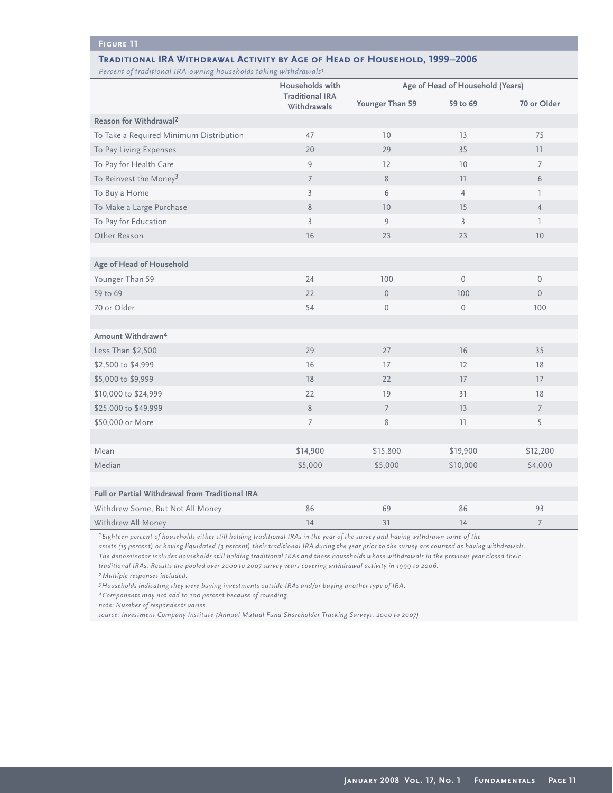#### **Figure 11**

#### **Traditional IRA Withdrawal Activity by Age of Head of Household, 1999–2006**

*Percent of traditional IRA-owning households taking withdrawals1*

|                                                 | Households with<br><b>Traditional IRA</b><br>Withdrawals | Age of Head of Household (Years) |                     |                 |
|-------------------------------------------------|----------------------------------------------------------|----------------------------------|---------------------|-----------------|
|                                                 |                                                          | Younger Than 59                  | 59 to 69            | 70 or Older     |
| Reason for Withdrawal <sup>2</sup>              |                                                          |                                  |                     |                 |
| To Take a Required Minimum Distribution         | 47                                                       | 10                               | 13                  | 75              |
| To Pay Living Expenses                          | 20                                                       | 29                               | 35                  | 11              |
| To Pay for Health Care                          | 9                                                        | 12                               | $10$                | $7\overline{ }$ |
| To Reinvest the Money <sup>3</sup>              | 7                                                        | 8                                | 11                  | 6               |
| To Buy a Home                                   | $\overline{3}$                                           | 6                                | $\overline{4}$      | $\mathbb{I}$    |
| To Make a Large Purchase                        | 8                                                        | 10 <sup>°</sup>                  | 15                  | $\overline{4}$  |
| To Pay for Education                            | $\overline{3}$                                           | 9                                | $\overline{3}$      | $\mathbb{I}$    |
| Other Reason                                    | 16                                                       | 23                               | 23                  | $10$            |
|                                                 |                                                          |                                  |                     |                 |
| Age of Head of Household                        |                                                          |                                  |                     |                 |
| Younger Than 59                                 | 24                                                       | 100                              | $\mathsf{O}\xspace$ | $\mathbb O$     |
| 59 to 69                                        | 22                                                       | $\mathsf{O}\xspace$              | 100                 | $\circ$         |
| 70 or Older                                     | 54                                                       | $\mathbf{0}$                     | $\mathsf{O}\xspace$ | 100             |
|                                                 |                                                          |                                  |                     |                 |
| Amount Withdrawn <sup>4</sup>                   |                                                          |                                  |                     |                 |
| Less Than \$2,500                               | 29                                                       | 27                               | 16                  | 35              |
| \$2,500 to \$4,999                              | 16                                                       | 17                               | 12                  | 18              |
| \$5,000 to \$9,999                              | 18                                                       | 22                               | 17                  | 17              |
| \$10,000 to \$24,999                            | 22                                                       | 19                               | 31                  | 18              |
| \$25,000 to \$49,999                            | 8                                                        | $\overline{7}$                   | 13                  | $\overline{7}$  |
| \$50,000 or More                                | $\overline{7}$                                           | 8                                | 11                  | 5               |
|                                                 |                                                          |                                  |                     |                 |
| Mean                                            | \$14,900                                                 | \$15,800                         | \$19,900            | \$12,200        |
| Median                                          | \$5,000                                                  | \$5,000                          | \$10,000            | \$4,000         |
|                                                 |                                                          |                                  |                     |                 |
| Full or Partial Withdrawal from Traditional IRA |                                                          |                                  |                     |                 |
| Withdrew Some, But Not All Money                | 86                                                       | 69                               | 86                  | 93              |
| Withdrew All Money                              | 14                                                       | 31                               | 14                  | $\overline{7}$  |

*1Eighteen percent of households either still holding traditional IRAs in the year of the survey and having withdrawn some of the*

*assets (15 percent) or having liquidated (3 percent) their traditional IRA during the year prior to the survey are counted as having withdrawals. The denominator includes households still holding traditional IRAs and those households whose withdrawals in the previous year closed their* 

*traditional IRAs. Results are pooled over 2000 to 2007 survey years covering withdrawal activity in 1999 to 2006.* 

*2Multiple responses included.*

*3Households indicating they were buying investments outside IRAs and/or buying another type of IRA.* 

*4Components may not add to 100 percent because of rounding.*

*note: Number of respondents varies.*

*source: Investment Company Institute (Annual Mutual Fund Shareholder Tracking Surveys, 2000 to 2007)*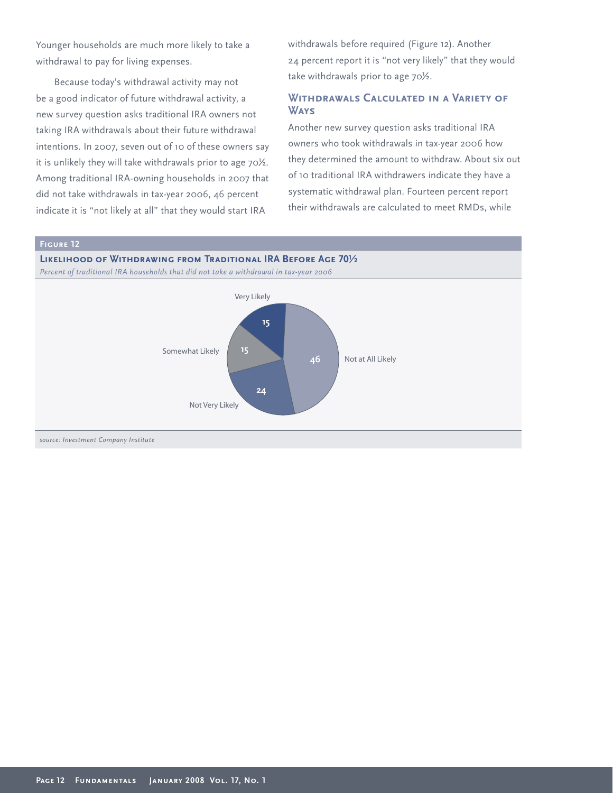Younger households are much more likely to take a withdrawal to pay for living expenses.

Because today's withdrawal activity may not be a good indicator of future withdrawal activity, a new survey question asks traditional IRA owners not taking IRA withdrawals about their future withdrawal intentions. In 2007, seven out of 10 of these owners say it is unlikely they will take withdrawals prior to age 70½. Among traditional IRA-owning households in 2007 that did not take withdrawals in tax-year 2006, 46 percent indicate it is "not likely at all" that they would start IRA

withdrawals before required (Figure 12). Another 24 percent report it is "not very likely" that they would take withdrawals prior to age 70½.

### **Withdrawals Calculated in a Variety of Ways**

Another new survey question asks traditional IRA owners who took withdrawals in tax-year 2006 how they determined the amount to withdraw. About six out of 10 traditional IRA withdrawers indicate they have a systematic withdrawal plan. Fourteen percent report their withdrawals are calculated to meet RMDs, while

#### **Figure 12**

**Likelihood of Withdrawing from Traditional IRA Before Age 70½** *Percent of traditional IRA households that did not take a withdrawal in tax-year 2006*

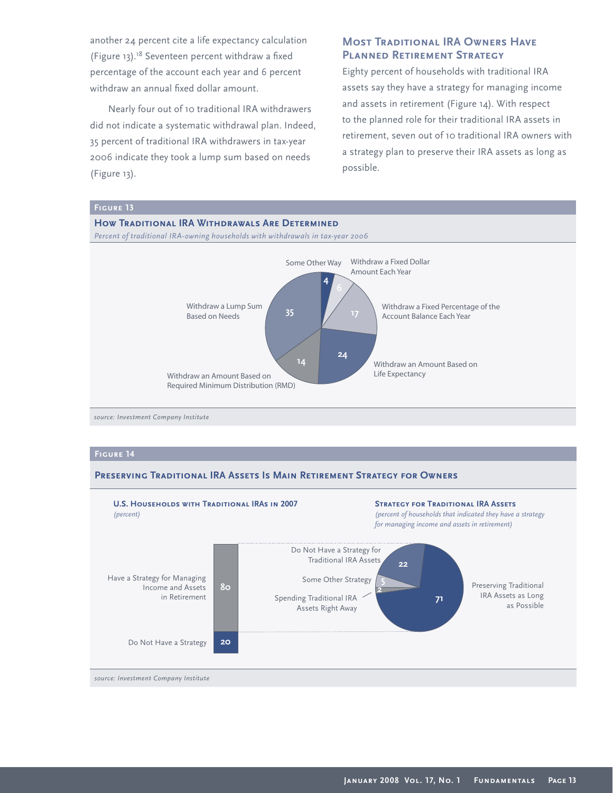another 24 percent cite a life expectancy calculation (Figure 13).<sup>18</sup> Seventeen percent withdraw a fixed percentage of the account each year and 6 percent withdraw an annual fixed dollar amount.

Nearly four out of 10 traditional IRA withdrawers did not indicate a systematic withdrawal plan. Indeed, 35 percent of traditional IRA withdrawers in tax-year 2006 indicate they took a lump sum based on needs (Figure 13).

#### **MOST TRADITIONAL IRA OWNERS HAVE Planned Retirement Strategy**

Eighty percent of households with traditional IRA assets say they have a strategy for managing income and assets in retirement (Figure 14). With respect to the planned role for their traditional IRA assets in retirement, seven out of 10 traditional IRA owners with a strategy plan to preserve their IRA assets as long as possible.



*source: Investment Company Institute*

#### **Figure 14**

#### **Preserving Traditional IRA Assets Is Main Retirement Strategy for Owners**

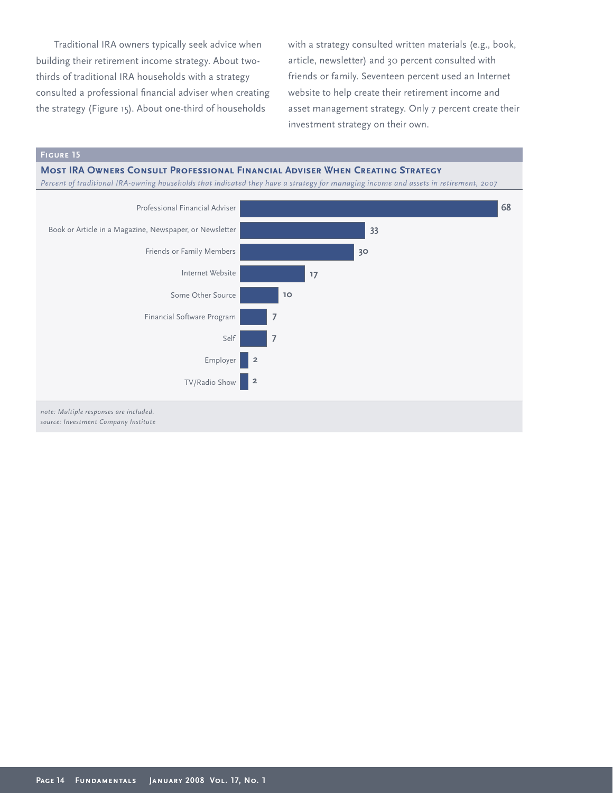Traditional IRA owners typically seek advice when building their retirement income strategy. About twothirds of traditional IRA households with a strategy consulted a professional financial adviser when creating the strategy (Figure 15). About one-third of households

with a strategy consulted written materials (e.g., book, article, newsletter) and 30 percent consulted with friends or family. Seventeen percent used an Internet website to help create their retirement income and asset management strategy. Only 7 percent create their investment strategy on their own.

#### **Most IRA Owners Consult Professional Financial Adviser When Creating Strategy**

*Percent of traditional IRA-owning households that indicated they have a strategy for managing income and assets in retirement, 2007*

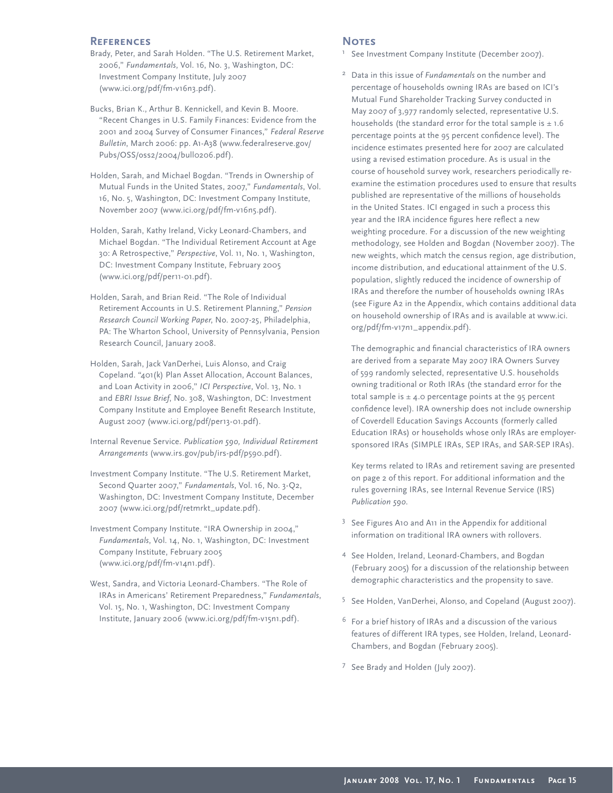#### **References**

- Brady, Peter, and Sarah Holden. "The U.S. Retirement Market, 2006," *Fundamentals*, Vol. 16, No. 3, Washington, DC: Investment Company Institute, July 2007 (www.ici.org/pdf/fm-v16n3.pdf).
- Bucks, Brian K., Arthur B. Kennickell, and Kevin B. Moore. "Recent Changes in U.S. Family Finances: Evidence from the 2001 and 2004 Survey of Consumer Finances," *Federal Reserve Bulletin*, March 2006: pp. A1-A38 (www.federalreserve.gov/ Pubs/OSS/oss2/2004/bull0206.pdf).
- Holden, Sarah, and Michael Bogdan. "Trends in Ownership of Mutual Funds in the United States, 2007," *Fundamentals*, Vol. 16, No. 5, Washington, DC: Investment Company Institute, November 2007 (www.ici.org/pdf/fm-v16n5.pdf).
- Holden, Sarah, Kathy Ireland, Vicky Leonard-Chambers, and Michael Bogdan. "The Individual Retirement Account at Age 30: A Retrospective," *Perspective*, Vol. 11, No. 1, Washington, DC: Investment Company Institute, February 2005 (www.ici.org/pdf/per11-01.pdf).
- Holden, Sarah, and Brian Reid. "The Role of Individual Retirement Accounts in U.S. Retirement Planning," *Pension Research Council Working Paper*, No. 2007-25, Philadelphia, PA: The Wharton School, University of Pennsylvania, Pension Research Council, January 2008.
- Holden, Sarah, Jack VanDerhei, Luis Alonso, and Craig Copeland. "401(k) Plan Asset Allocation, Account Balances, and Loan Activity in 2006," *ICI Perspective*, Vol. 13, No. 1 and *EBRI Issue Brief*, No. 308, Washington, DC: Investment Company Institute and Employee Benefit Research Institute, August 2007 (www.ici.org/pdf/per13-01.pdf).
- Internal Revenue Service. *Publication 590, Individual Retirement Arrangements* (www.irs.gov/pub/irs-pdf/p590.pdf).
- Investment Company Institute. "The U.S. Retirement Market, Second Quarter 2007," *Fundamentals*, Vol. 16, No. 3-Q2, Washington, DC: Investment Company Institute, December 2007 (www.ici.org/pdf/retmrkt\_update.pdf).
- Investment Company Institute. "IRA Ownership in 2004," *Fundamentals*, Vol. 14, No. 1, Washington, DC: Investment Company Institute, February 2005 (www.ici.org/pdf/fm-v14n1.pdf).
- West, Sandra, and Victoria Leonard-Chambers. "The Role of IRAs in Americans' Retirement Preparedness," *Fundamentals*, Vol. 15, No. 1, Washington, DC: Investment Company Institute, January 2006 (www.ici.org/pdf/fm-v15n1.pdf).

#### **NOTES**

- <sup>1</sup> See Investment Company Institute (December 2007).
- <sup>2</sup> Data in this issue of *Fundamentals* on the number and percentage of households owning IRAs are based on ICI's Mutual Fund Shareholder Tracking Survey conducted in May 2007 of 3,977 randomly selected, representative U.S. households (the standard error for the total sample is  $\pm$  1.6 percentage points at the 95 percent confidence level). The incidence estimates presented here for 2007 are calculated using a revised estimation procedure. As is usual in the course of household survey work, researchers periodically reexamine the estimation procedures used to ensure that results published are representative of the millions of households in the United States. ICI engaged in such a process this year and the IRA incidence figures here reflect a new weighting procedure. For a discussion of the new weighting methodology, see Holden and Bogdan (November 2007). The new weights, which match the census region, age distribution, income distribution, and educational attainment of the U.S. population, slightly reduced the incidence of ownership of IRAs and therefore the number of households owning IRAs (see Figure A2 in the Appendix, which contains additional data on household ownership of IRAs and is available at www.ici. org/pdf/fm-v17n1\_appendix.pdf).

The demographic and financial characteristics of IRA owners are derived from a separate May 2007 IRA Owners Survey of 599 randomly selected, representative U.S. households owning traditional or Roth IRAs (the standard error for the total sample is  $\pm$  4.0 percentage points at the 95 percent confidence level). IRA ownership does not include ownership of Coverdell Education Savings Accounts (formerly called Education IRAs) or households whose only IRAs are employersponsored IRAs (SIMPLE IRAs, SEP IRAs, and SAR-SEP IRAs).

 Key terms related to IRAs and retirement saving are presented on page 2 of this report. For additional information and the rules governing IRAs, see Internal Revenue Service (IRS) *Publication 590*.

- <sup>3</sup> See Figures A10 and A11 in the Appendix for additional information on traditional IRA owners with rollovers.
- <sup>4</sup> See Holden, Ireland, Leonard-Chambers, and Bogdan (February 2005) for a discussion of the relationship between demographic characteristics and the propensity to save.
- 5 See Holden, VanDerhei, Alonso, and Copeland (August 2007).
- $6$  For a brief history of IRAs and a discussion of the various features of different IRA types, see Holden, Ireland, Leonard-Chambers, and Bogdan (February 2005).
- <sup>7</sup> See Brady and Holden (July 2007).